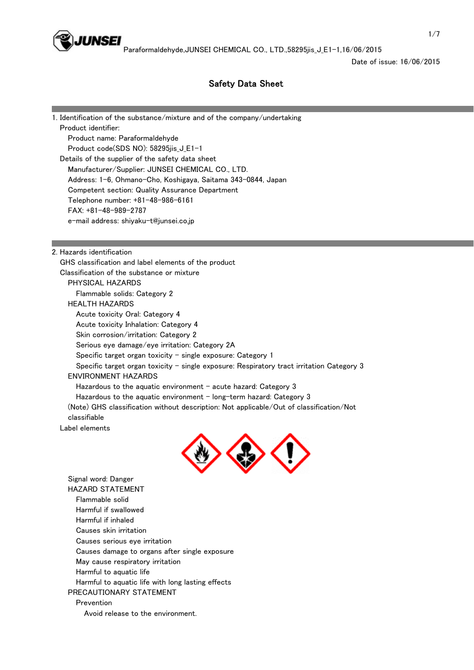

Date of issue: 16/06/2015

# Safety Data Sheet

1. Identification of the substance/mixture and of the company/undertaking Product identifier: Product name: Paraformaldehyde Product code(SDS NO): 58295jis\_J\_E1-1 Details of the supplier of the safety data sheet Manufacturer/Supplier: JUNSEI CHEMICAL CO., LTD. Address: 1-6, Ohmano-Cho, Koshigaya, Saitama 343-0844, Japan Competent section: Quality Assurance Department Telephone number: +81-48-986-6161 FAX: +81-48-989-2787 e-mail address: shiyaku-t@junsei.co.jp

2. Hazards identification

 GHS classification and label elements of the product Classification of the substance or mixture PHYSICAL HAZARDS Flammable solids: Category 2 HEALTH HAZARDS Acute toxicity Oral: Category 4 Acute toxicity Inhalation: Category 4 Skin corrosion/irritation: Category 2 Serious eye damage/eye irritation: Category 2A Specific target organ toxicity  $-$  single exposure: Category 1 Specific target organ toxicity - single exposure: Respiratory tract irritation Category 3 ENVIRONMENT HAZARDS Hazardous to the aquatic environment  $-$  acute hazard: Category 3 Hazardous to the aquatic environment  $-$  long-term hazard: Category 3 (Note) GHS classification without description: Not applicable/Out of classification/Not classifiable Label elements



 Signal word: Danger HAZARD STATEMENT Flammable solid Harmful if swallowed Harmful if inhaled Causes skin irritation Causes serious eye irritation Causes damage to organs after single exposure May cause respiratory irritation Harmful to aquatic life Harmful to aquatic life with long lasting effects PRECAUTIONARY STATEMENT Prevention Avoid release to the environment.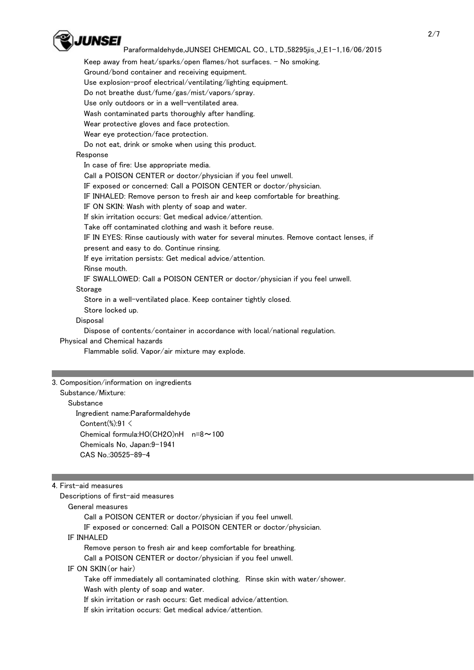

Keep away from heat/sparks/open flames/hot surfaces.  $-$  No smoking.

Ground/bond container and receiving equipment.

Use explosion-proof electrical/ventilating/lighting equipment.

Do not breathe dust/fume/gas/mist/vapors/spray.

Use only outdoors or in a well-ventilated area.

Wash contaminated parts thoroughly after handling.

Wear protective gloves and face protection.

Wear eye protection/face protection.

Do not eat, drink or smoke when using this product.

# Response

 In case of fire: Use appropriate media. Call a POISON CENTER or doctor/physician if you feel unwell. IF exposed or concerned: Call a POISON CENTER or doctor/physician. IF INHALED: Remove person to fresh air and keep comfortable for breathing. IF ON SKIN: Wash with plenty of soap and water. If skin irritation occurs: Get medical advice/attention. Take off contaminated clothing and wash it before reuse. IF IN EYES: Rinse cautiously with water for several minutes. Remove contact lenses, if present and easy to do. Continue rinsing. If eye irritation persists: Get medical advice/attention. Rinse mouth. IF SWALLOWED: Call a POISON CENTER or doctor/physician if you feel unwell. Storage Store in a well-ventilated place. Keep container tightly closed.

Store locked up.

## **Disposal**

Dispose of contents/container in accordance with local/national regulation.

Physical and Chemical hazards

Flammable solid. Vapor/air mixture may explode.

## 3. Composition/information on ingredients

Substance/Mixture:

## **Substance**

 Ingredient name:Paraformaldehyde Content(%):91  $\leq$  Chemical formula:HO(CH2O)nH n=8~100 Chemicals No, Japan:9-1941 CAS No.:30525-89-4

## 4. First-aid measures

 Descriptions of first-aid measures General measures Call a POISON CENTER or doctor/physician if you feel unwell. IF exposed or concerned: Call a POISON CENTER or doctor/physician. IF INHALED Remove person to fresh air and keep comfortable for breathing.

Call a POISON CENTER or doctor/physician if you feel unwell.

IF ON SKIN(or hair)

 Take off immediately all contaminated clothing. Rinse skin with water/shower. Wash with plenty of soap and water.

If skin irritation or rash occurs: Get medical advice/attention.

If skin irritation occurs: Get medical advice/attention.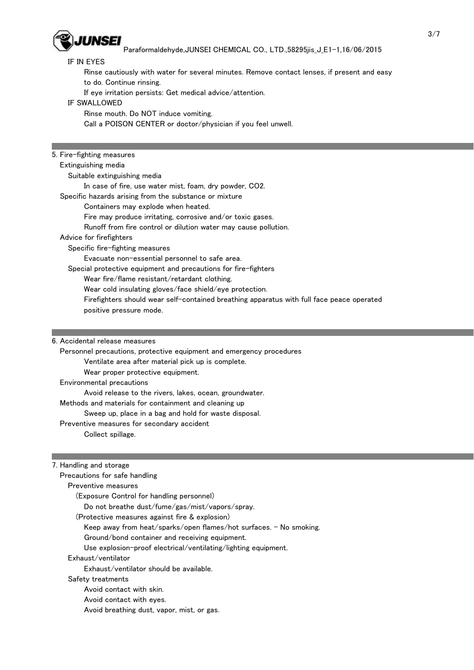

## IF IN EYES

Rinse cautiously with water for several minutes. Remove contact lenses, if present and easy

to do. Continue rinsing.

If eye irritation persists: Get medical advice/attention.

IF SWALLOWED

Rinse mouth. Do NOT induce vomiting.

Call a POISON CENTER or doctor/physician if you feel unwell.

## 5. Fire-fighting measures

#### Extinguishing media

Suitable extinguishing media

In case of fire, use water mist, foam, dry powder, CO2.

Specific hazards arising from the substance or mixture

#### Containers may explode when heated.

Fire may produce irritating, corrosive and/or toxic gases.

Runoff from fire control or dilution water may cause pollution.

## Advice for firefighters

Specific fire-fighting measures

Evacuate non-essential personnel to safe area.

Special protective equipment and precautions for fire-fighters

Wear fire/flame resistant/retardant clothing.

Wear cold insulating gloves/face shield/eye protection.

 Firefighters should wear self-contained breathing apparatus with full face peace operated positive pressure mode.

#### 6. Accidental release measures

Personnel precautions, protective equipment and emergency procedures

Ventilate area after material pick up is complete.

Wear proper protective equipment.

Environmental precautions

Avoid release to the rivers, lakes, ocean, groundwater.

Methods and materials for containment and cleaning up

Sweep up, place in a bag and hold for waste disposal.

Preventive measures for secondary accident

Collect spillage.

#### 7. Handling and storage

Precautions for safe handling

Preventive measures

(Exposure Control for handling personnel)

Do not breathe dust/fume/gas/mist/vapors/spray.

(Protective measures against fire & explosion)

Keep away from heat/sparks/open flames/hot surfaces. - No smoking.

Ground/bond container and receiving equipment.

Use explosion-proof electrical/ventilating/lighting equipment.

## Exhaust/ventilator

Exhaust/ventilator should be available.

Safety treatments

Avoid contact with skin.

Avoid contact with eyes.

Avoid breathing dust, vapor, mist, or gas.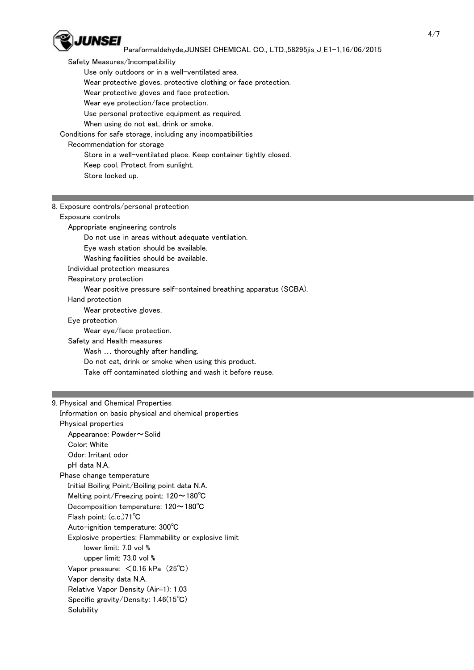

 Safety Measures/Incompatibility Use only outdoors or in a well-ventilated area. Wear protective gloves, protective clothing or face protection. Wear protective gloves and face protection. Wear eye protection/face protection. Use personal protective equipment as required. When using do not eat, drink or smoke. Conditions for safe storage, including any incompatibilities Recommendation for storage Store in a well-ventilated place. Keep container tightly closed. Keep cool. Protect from sunlight. Store locked up.

| 8. Exposure controls/personal protection                          |
|-------------------------------------------------------------------|
| Exposure controls                                                 |
| Appropriate engineering controls                                  |
| Do not use in areas without adequate ventilation.                 |
| Eye wash station should be available.                             |
| Washing facilities should be available.                           |
| Individual protection measures                                    |
| Respiratory protection                                            |
| Wear positive pressure self-contained breathing apparatus (SCBA). |
| Hand protection                                                   |
| Wear protective gloves.                                           |
| Eye protection                                                    |
| Wear eye/face protection.                                         |
| Safety and Health measures                                        |
| Wash  thoroughly after handling.                                  |
| Do not eat, drink or smoke when using this product.               |
| Take off contaminated clothing and wash it before reuse.          |
|                                                                   |

#### 9. Physical and Chemical Properties

 Information on basic physical and chemical properties Physical properties Appearance: Powder~Solid Color: White Odor: Irritant odor pH data N.A. Phase change temperature Initial Boiling Point/Boiling point data N.A. Melting point/Freezing point: 120~180℃ Decomposition temperature: 120~180℃ Flash point: (c.c.)71℃ Auto-ignition temperature: 300℃ Explosive properties: Flammability or explosive limit lower limit: 7.0 vol % upper limit: 73.0 vol % Vapor pressure: <0.16 kPa (25℃) Vapor density data N.A. Relative Vapor Density (Air=1): 1.03 Specific gravity/Density: 1.46(15℃) **Solubility**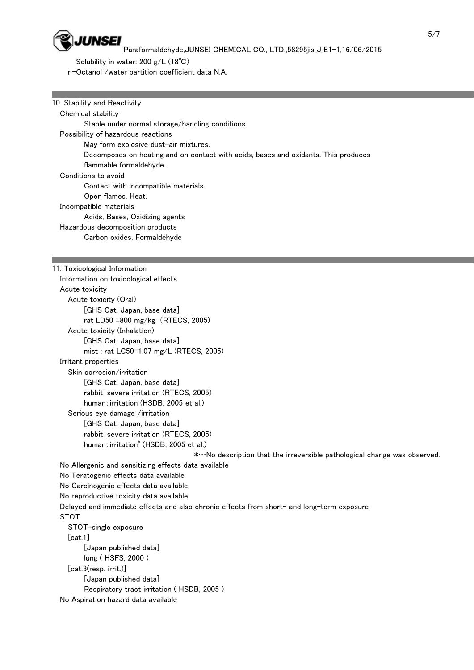

 Solubility in water: 200 g/L (18℃) n-Octanol /water partition coefficient data N.A.

## 10. Stability and Reactivity

 Chemical stability Stable under normal storage/handling conditions. Possibility of hazardous reactions May form explosive dust-air mixtures. Decomposes on heating and on contact with acids, bases and oxidants. This produces flammable formaldehyde. Conditions to avoid Contact with incompatible materials. Open flames. Heat. Incompatible materials Acids, Bases, Oxidizing agents Hazardous decomposition products Carbon oxides, Formaldehyde

11. Toxicological Information Information on toxicological effects Acute toxicity Acute toxicity (Oral) [GHS Cat. Japan, base data] rat LD50 =800 mg/kg (RTECS, 2005) Acute toxicity (Inhalation) [GHS Cat. Japan, base data] mist : rat LC50=1.07 mg/L (RTECS, 2005) Irritant properties Skin corrosion/irritation [GHS Cat. Japan, base data] rabbit:severe irritation (RTECS, 2005) human:irritation (HSDB, 2005 et al.) Serious eye damage /irritation [GHS Cat. Japan, base data] rabbit:severe irritation (RTECS, 2005) human:irritation\* (HSDB, 2005 et al.) \*…No description that the irreversible pathological change was observed. No Allergenic and sensitizing effects data available No Teratogenic effects data available No Carcinogenic effects data available No reproductive toxicity data available Delayed and immediate effects and also chronic effects from short- and long-term exposure **STOT**  STOT-single exposure  $[cat.1]$  [Japan published data] lung ( HSFS, 2000 ) [cat.3(resp. irrit.)] [Japan published data] Respiratory tract irritation ( HSDB, 2005 ) No Aspiration hazard data available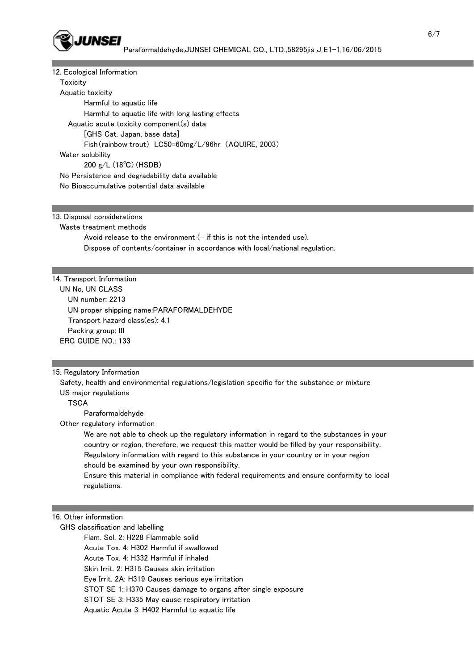

#### 12. Ecological Information

**Toxicity**  Aquatic toxicity Harmful to aquatic life Harmful to aquatic life with long lasting effects Aquatic acute toxicity component(s) data [GHS Cat. Japan, base data] Fish(rainbow trout) LC50=60mg/L/96hr (AQUIRE, 2003) Water solubility 200 g/L (18℃) (HSDB) No Persistence and degradability data available No Bioaccumulative potential data available

13. Disposal considerations

Waste treatment methods

Avoid release to the environment  $(-$  if this is not the intended use). Dispose of contents/container in accordance with local/national regulation.

#### 14. Transport Information

 UN No, UN CLASS UN number: 2213 UN proper shipping name:PARAFORMALDEHYDE Transport hazard class(es): 4.1 Packing group: III ERG GUIDE NO.: 133

#### 15. Regulatory Information

 Safety, health and environmental regulations/legislation specific for the substance or mixture US major regulations

**TSCA** 

Paraformaldehyde

Other regulatory information

 We are not able to check up the regulatory information in regard to the substances in your country or region, therefore, we request this matter would be filled by your responsibility. Regulatory information with regard to this substance in your country or in your region should be examined by your own responsibility.

 Ensure this material in compliance with federal requirements and ensure conformity to local regulations.

#### 16. Other information

GHS classification and labelling

Flam. Sol. 2: H228 Flammable solid

Acute Tox. 4: H302 Harmful if swallowed

Acute Tox. 4: H332 Harmful if inhaled

Skin Irrit. 2: H315 Causes skin irritation

Eye Irrit. 2A: H319 Causes serious eye irritation

STOT SE 1: H370 Causes damage to organs after single exposure

STOT SE 3: H335 May cause respiratory irritation

Aquatic Acute 3: H402 Harmful to aquatic life